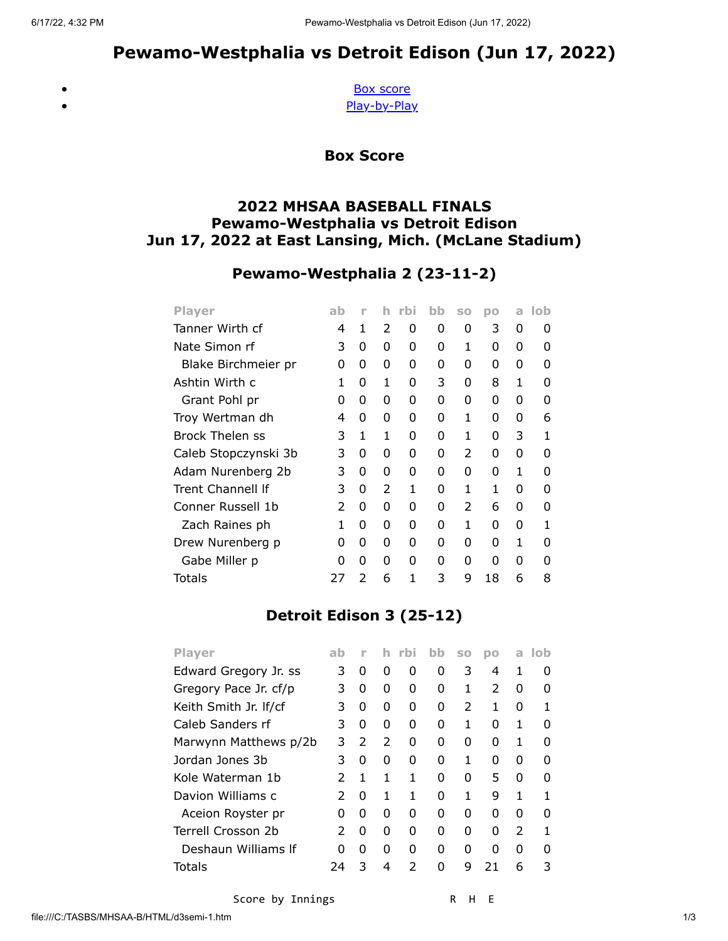<span id="page-0-0"></span> $\bullet$  $\bullet$ 

# Pewamo-Westphalia vs Detroit Edison (Jun 17, 2022)

[Box score](#page-0-0) [Play-by-Play](#page-1-0)

Box Score

#### 2022 MHSAA BASEBALL FINALS Pewamo-Westphalia vs Detroit Edison Jun 17, 2022 at East Lansing, Mich. (McLane Stadium)

## Pewamo-Westphalia 2 (23-11-2)

| <b>Player</b>        | ab | n             |   |   | bb | SO            | DO | a | lob |
|----------------------|----|---------------|---|---|----|---------------|----|---|-----|
| Tanner Wirth cf      | 4  | 1             | 2 | 0 | 0  | 0             | 3  | 0 | O   |
| Nate Simon rf        | 3  | 0             | 0 | 0 | 0  | 1             | 0  | 0 | O   |
| Blake Birchmeier pr  | 0  | 0             | 0 | 0 | 0  | 0             | O  | 0 | O   |
| Ashtin Wirth c       | 1  | O             | 1 | 0 | 3  | 0             | 8  | 1 | ŋ   |
| Grant Pohl pr        | 0  | 0             | 0 | 0 | 0  | 0             | 0  | 0 | O   |
| Troy Wertman dh      | 4  | O             | 0 | O | O  | 1             | O  | 0 | 6   |
| Brock Thelen ss      | 3  | 1             | 1 | 0 | 0  | 1             | O  | 3 | 1   |
| Caleb Stopczynski 3b | 3  | 0             | 0 | 0 | 0  | $\mathcal{P}$ | 0  | 0 | O   |
| Adam Nurenberg 2b    | 3  | O             | 0 | 0 | 0  | 0             | O  | 1 | ŋ   |
| Trent Channell If    | 3  | 0             | 2 | 1 | 0  | 1             | 1  | 0 | O   |
| Conner Russell 1b    | 2  | 0             | 0 | 0 | 0  | 2             | 6  | 0 | O   |
| Zach Raines ph       | 1  | 0             | 0 | 0 | 0  | 1             | U  | 0 | 1   |
| Drew Nurenberg p     | 0  | 0             | 0 | 0 | 0  | 0             | O  | 1 | ŋ   |
| Gabe Miller p        | O  | 0             | 0 | 0 | 0  | 0             | O  | 0 | O   |
| Totals               | 27 | $\mathcal{P}$ | 6 | 1 | 3  | 9             | 18 | 6 | 8   |

### Detroit Edison 3 (25-12)

| <b>Player</b>         | ab            |               | Ih.           | -rbi | bb | <b>SO</b>     | DO            | a             | lob |
|-----------------------|---------------|---------------|---------------|------|----|---------------|---------------|---------------|-----|
| Edward Gregory Jr. ss | 3             | 0             | 0             | 0    | 0  | 3             | 4             | 1             | O   |
| Gregory Pace Jr. cf/p | 3             | 0             | 0             | O    | O  | 1             | $\mathcal{P}$ | 0             | O   |
| Keith Smith Jr. If/cf | 3             | 0             | 0             | O    | O  | $\mathcal{P}$ | 1             | 0             | 1   |
| Caleb Sanders rf      | 3             | 0             | 0             | O    | O  | 1             | O             | 1             | O   |
| Marwynn Matthews p/2b | 3             | $\mathcal{P}$ | $\mathcal{P}$ | 0    | O  | 0             | O             | 1             | n   |
| Jordan Jones 3b       | 3             | 0             | 0             | O    | O  | 1             | U             | 0             | ŋ   |
| Kole Waterman 1b      | $\mathcal{P}$ | 1             | 1             | 1    | O  | <sup>0</sup>  | 5             | O             | ŋ   |
| Davion Williams c     | $\mathcal{P}$ | 0             | 1             | 1    | O  | 1             | 9             | 1             | 1   |
| Aceion Royster pr     | O             | 0             | 0             | O    | O  | 0             | O             | 0             | O   |
| Terrell Crosson 2b    | $\mathcal{P}$ | 0             | 0             | O    | O  | 0             | 0             | $\mathcal{P}$ | 1   |
| Deshaun Williams If   | O             | 0             | 0             | O    | O  | 0             | O             | 0             | n   |
| Totals                | 74            | 3             | 4             | フ    | U  | g             |               | 6             | 3   |
|                       |               |               |               |      |    |               |               |               |     |

Score by Innings R H E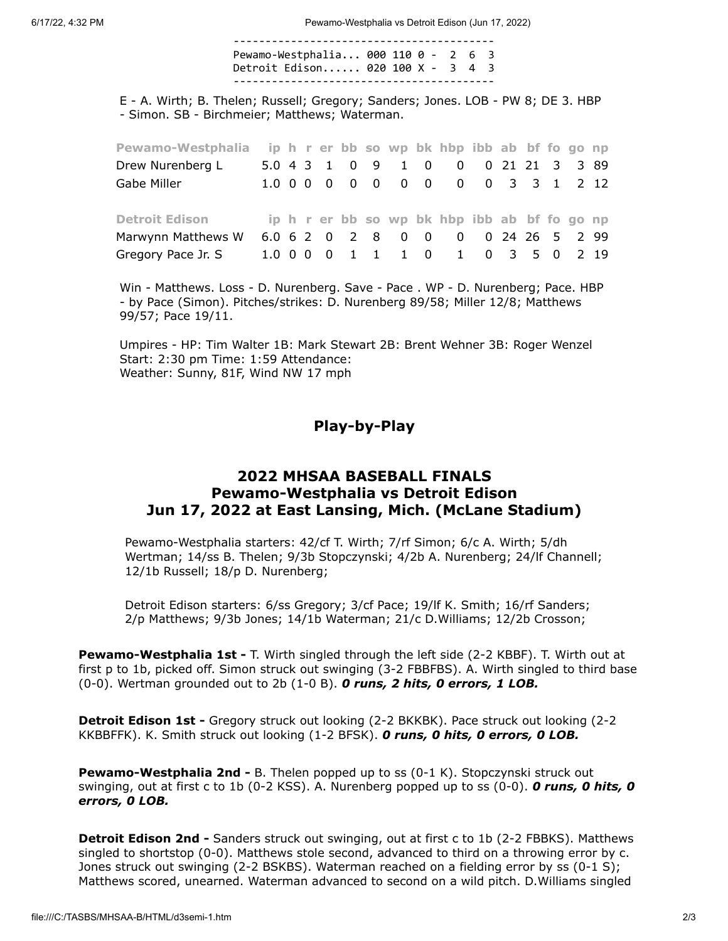6/17/22, 4:32 PM Pewamo-Westphalia vs Detroit Edison (Jun 17, 2022)

----------------------------------------- Pewamo-Westphalia... 000 110 0 - 2 6 3 Detroit Edison...... 020 100 X - 3 4 3 -----------------------------------------

E - A. Wirth; B. Thelen; Russell; Gregory; Sanders; Jones. LOB - PW 8; DE 3. HBP - Simon. SB - Birchmeier; Matthews; Waterman.

| Pewamo-Westphalia ip h r er bb so wp bk hbp ibb ab bf fo go np |  |  |  |  |                                              |  |  |                |  |
|----------------------------------------------------------------|--|--|--|--|----------------------------------------------|--|--|----------------|--|
| Drew Nurenberg L                                               |  |  |  |  | 5.0 4 3 1 0 9 1 0 0                          |  |  | 0 21 21 3 3 89 |  |
| Gabe Miller                                                    |  |  |  |  | 1.0 0 0 0 0 0 0 0 0 0 0 3 3 1 2 12           |  |  |                |  |
|                                                                |  |  |  |  |                                              |  |  |                |  |
| <b>Detroit Edison</b>                                          |  |  |  |  | ip h r er bb so wp bk hbp ibb ab bf fo go np |  |  |                |  |
| Marwynn Matthews W                                             |  |  |  |  | 6.0 6 2 0 2 8 0 0 0 0 24 26 5 2 99           |  |  |                |  |
| Gregory Pace Jr. S                                             |  |  |  |  | 1.0 0 0 0 1 1 1 0 1 0 3 5 0 2 19             |  |  |                |  |

Win - Matthews. Loss - D. Nurenberg. Save - Pace . WP - D. Nurenberg; Pace. HBP - by Pace (Simon). Pitches/strikes: D. Nurenberg 89/58; Miller 12/8; Matthews 99/57; Pace 19/11.

<span id="page-1-0"></span>Umpires - HP: Tim Walter 1B: Mark Stewart 2B: Brent Wehner 3B: Roger Wenzel Start: 2:30 pm Time: 1:59 Attendance: Weather: Sunny, 81F, Wind NW 17 mph

Play-by-Play

#### 2022 MHSAA BASEBALL FINALS Pewamo-Westphalia vs Detroit Edison Jun 17, 2022 at East Lansing, Mich. (McLane Stadium)

Pewamo-Westphalia starters: 42/cf T. Wirth; 7/rf Simon; 6/c A. Wirth; 5/dh Wertman; 14/ss B. Thelen; 9/3b Stopczynski; 4/2b A. Nurenberg; 24/lf Channell; 12/1b Russell; 18/p D. Nurenberg;

Detroit Edison starters: 6/ss Gregory; 3/cf Pace; 19/lf K. Smith; 16/rf Sanders; 2/p Matthews; 9/3b Jones; 14/1b Waterman; 21/c D.Williams; 12/2b Crosson;

**Pewamo-Westphalia 1st - T.** Wirth singled through the left side (2-2 KBBF). T. Wirth out at first p to 1b, picked off. Simon struck out swinging (3-2 FBBFBS). A. Wirth singled to third base  $(0-0)$ . Wertman grounded out to 2b  $(1-0 B)$ . O runs, 2 hits, O errors, 1 LOB.

**Detroit Edison 1st -** Gregory struck out looking (2-2 BKKBK). Pace struck out looking (2-2 KKBBFFK). K. Smith struck out looking (1-2 BFSK). O runs, O hits, O errors, O LOB.

**Pewamo-Westphalia 2nd -** B. Thelen popped up to ss (0-1 K). Stopczynski struck out swinging, out at first c to 1b (0-2 KSS). A. Nurenberg popped up to ss (0-0). **O runs, O hits, O** errors, 0 LOB.

**Detroit Edison 2nd - Sanders struck out swinging, out at first c to 1b (2-2 FBBKS). Matthews** singled to shortstop (0-0). Matthews stole second, advanced to third on a throwing error by c. Jones struck out swinging (2-2 BSKBS). Waterman reached on a fielding error by ss (0-1 S); Matthews scored, unearned. Waterman advanced to second on a wild pitch. D.Williams singled